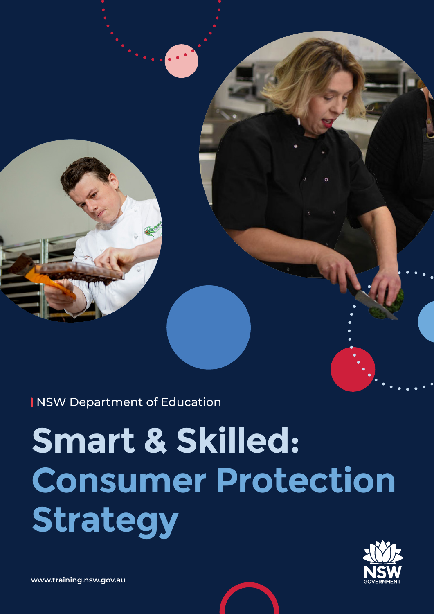NSW Department of Education

# **Smart & Skilled: Consumer Protection Strategy**

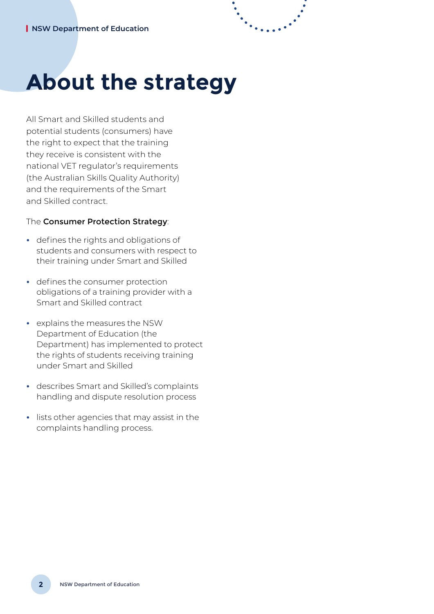## **About the strategy**

All Smart and Skilled students and potential students (consumers) have the right to expect that the training they receive is consistent with the national VET regulator's requirements (the Australian Skills Quality Authority) and the requirements of the Smart and Skilled contract.

#### The Consumer Protection Strategy:

- **•** defines the rights and obligations of students and consumers with respect to their training under Smart and Skilled
- **•** defines the consumer protection obligations of a training provider with a Smart and Skilled contract
- **•** explains the measures the NSW Department of Education (the Department) has implemented to protect the rights of students receiving training under Smart and Skilled
- **•** describes Smart and Skilled's complaints handling and dispute resolution process
- **•** lists other agencies that may assist in the complaints handling process.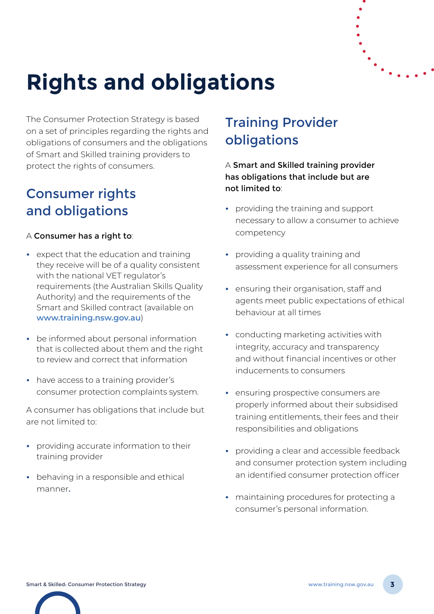

## **Rights and obligations**

The Consumer Protection Strategy is based on a set of principles regarding the rights and obligations of consumers and the obligations of Smart and Skilled training providers to protect the rights of consumers.

### Consumer rights and obligations

#### A Consumer has a right to:

- **•** expect that the education and training they receive will be of a quality consistent with the national VET regulator's requirements (the Australian Skills Quality Authority) and the requirements of the Smart and Skilled contract (available on **[www.training.nsw.gov.au](http://www.training.nsw.gov.au)**)
- **•** be informed about personal information that is collected about them and the right to review and correct that information
- **•** have access to a training provider's consumer protection complaints system.

A consumer has obligations that include but are not limited to:

- **•** providing accurate information to their training provider
- **•** behaving in a responsible and ethical manner.

## Training Provider obligations

A Smart and Skilled training provider has obligations that include but are not limited to:

- **•** providing the training and support necessary to allow a consumer to achieve competency
- **•** providing a quality training and assessment experience for all consumers
- **•** ensuring their organisation, staff and agents meet public expectations of ethical behaviour at all times
- **•** conducting marketing activities with integrity, accuracy and transparency and without financial incentives or other inducements to consumers
- **•** ensuring prospective consumers are properly informed about their subsidised training entitlements, their fees and their responsibilities and obligations
- **•** providing a clear and accessible feedback and consumer protection system including an identified consumer protection officer
- **•** maintaining procedures for protecting a consumer's personal information.

Smart & Skilled: Consumer Protection Strategy [www.training.nsw.gov.au](http://www.training.nsw.gov.au) **3**

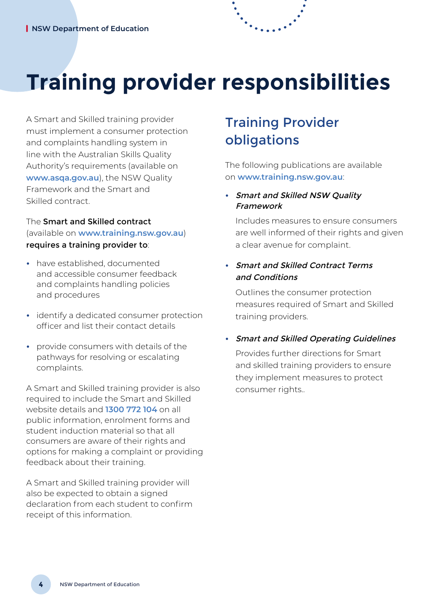## **Training provider responsibilities**

A Smart and Skilled training provider must implement a consumer protection and complaints handling system in line with the Australian Skills Quality Authority's requirements (available on **[www.asqa.gov.au](http://www.asqa.gov.au)**), the NSW Quality Framework and the Smart and Skilled contract.

#### The Smart and Skilled contract (available on **[www.training.nsw.gov.au](http://www.training.nsw.gov.au)**) requires a training provider to:

- **•** have established, documented and accessible consumer feedback and complaints handling policies and procedures
- **•** identify a dedicated consumer protection officer and list their contact details
- **•** provide consumers with details of the pathways for resolving or escalating complaints.

A Smart and Skilled training provider is also required to include the Smart and Skilled website details and **1300 772 104** on all public information, enrolment forms and student induction material so that all consumers are aware of their rights and options for making a complaint or providing feedback about their training.

A Smart and Skilled training provider will also be expected to obtain a signed declaration from each student to confirm receipt of this information.

## Training Provider obligations

The following publications are available on **[www.training.nsw.gov.au](http://www.training.nsw.gov.au)**:

#### **•** Smart and Skilled NSW Quality Framework

Includes measures to ensure consumers are well informed of their rights and given a clear avenue for complaint.

#### **•** Smart and Skilled Contract Terms and Conditions

Outlines the consumer protection measures required of Smart and Skilled training providers.

#### **•** Smart and Skilled Operating Guidelines

Provides further directions for Smart and skilled training providers to ensure they implement measures to protect consumer rights..

**4**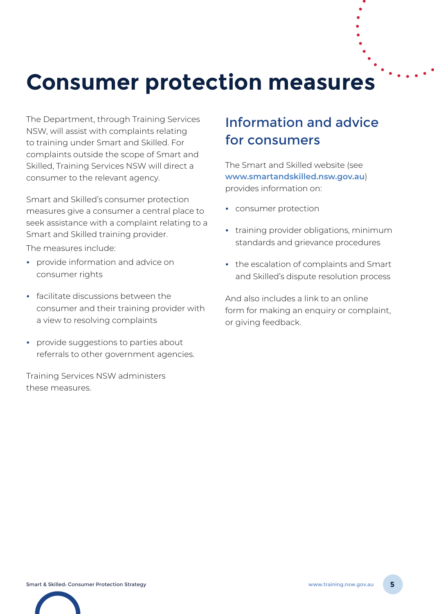## **Consumer protection measures**

The Department, through Training Services NSW, will assist with complaints relating to training under Smart and Skilled. For complaints outside the scope of Smart and Skilled, Training Services NSW will direct a consumer to the relevant agency.

Smart and Skilled's consumer protection measures give a consumer a central place to seek assistance with a complaint relating to a Smart and Skilled training provider.

The measures include:

- **•** provide information and advice on consumer rights
- **•** facilitate discussions between the consumer and their training provider with a view to resolving complaints
- **•** provide suggestions to parties about referrals to other government agencies.

Training Services NSW administers these measures.

### Information and advice for consumers

The Smart and Skilled website (see **[www.smartandskilled.nsw.gov.au](http://www.smartandskilled.nsw.gov.au)**) provides information on:

- **•** consumer protection
- **•** training provider obligations, minimum standards and grievance procedures
- **•** the escalation of complaints and Smart and Skilled's dispute resolution process

And also includes a link to an online form for making an enquiry or complaint, or giving feedback.

Smart & Skilled: Consumer Protection Strategy [www.training.nsw.gov.au](http://www.training.nsw.gov.au) **5**

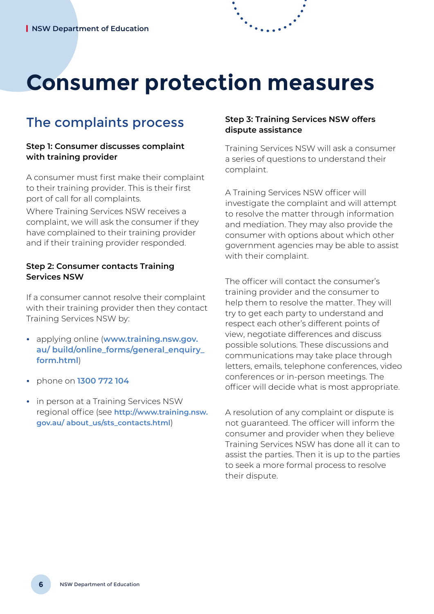## **Consumer protection measures**

### The complaints process

#### **Step 1: Consumer discusses complaint with training provider**

A consumer must first make their complaint to their training provider. This is their first port of call for all complaints.

Where Training Services NSW receives a complaint, we will ask the consumer if they have complained to their training provider and if their training provider responded.

#### **Step 2: Consumer contacts Training Services NSW**

If a consumer cannot resolve their complaint with their training provider then they contact Training Services NSW by:

- **•** applying online (**[www.training.nsw.gov.](http://www.training.nsw.gov.au/ build/online_forms/general_enquiry_form.html) [au/ build/online\\_forms/general\\_enquiry\\_](http://www.training.nsw.gov.au/ build/online_forms/general_enquiry_form.html) [form.htm](http://www.training.nsw.gov.au/ build/online_forms/general_enquiry_form.html)l**)
- **•** phone on **1300 772 104**
- **•** in person at a Training Services NSW regional office (see **[http://www.training.nsw.](http://www.training.nsw.gov.au/ about_us/sts_contacts.html) [gov.au/ about\\_us/sts\\_contacts.html](http://www.training.nsw.gov.au/ about_us/sts_contacts.html)**)

#### **Step 3: Training Services NSW offers dispute assistance**

Training Services NSW will ask a consumer a series of questions to understand their complaint.

A Training Services NSW officer will investigate the complaint and will attempt to resolve the matter through information and mediation. They may also provide the consumer with options about which other government agencies may be able to assist with their complaint.

The officer will contact the consumer's training provider and the consumer to help them to resolve the matter. They will try to get each party to understand and respect each other's different points of view, negotiate differences and discuss possible solutions. These discussions and communications may take place through letters, emails, telephone conferences, video conferences or in-person meetings. The officer will decide what is most appropriate.

A resolution of any complaint or dispute is not guaranteed. The officer will inform the consumer and provider when they believe Training Services NSW has done all it can to assist the parties. Then it is up to the parties to seek a more formal process to resolve their dispute.